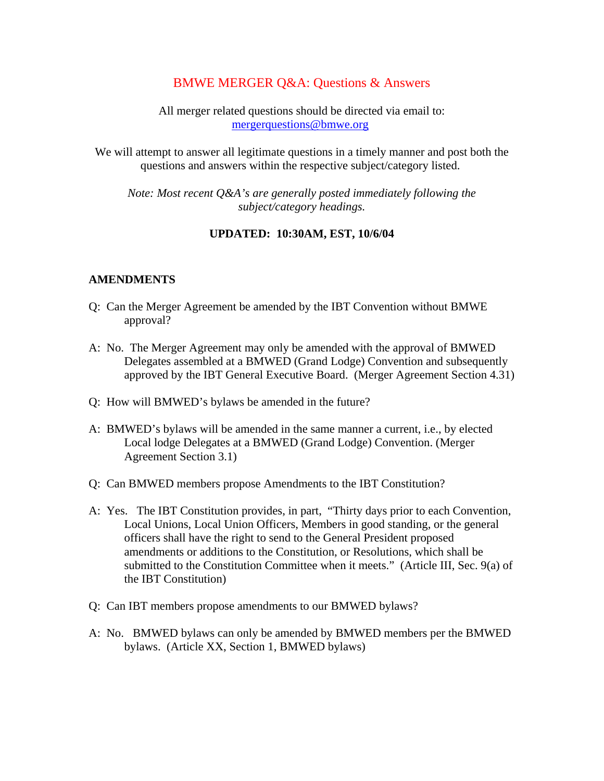# BMWE MERGER Q&A: Questions & Answers

All merger related questions should be directed via email to: mergerquestions@bmwe.org

We will attempt to answer all legitimate questions in a timely manner and post both the questions and answers within the respective subject/category listed.

*Note: Most recent Q&A's are generally posted immediately following the subject/category headings.* 

#### **UPDATED: 10:30AM, EST, 10/6/04**

#### **AMENDMENTS**

- Q: Can the Merger Agreement be amended by the IBT Convention without BMWE approval?
- A: No. The Merger Agreement may only be amended with the approval of BMWED Delegates assembled at a BMWED (Grand Lodge) Convention and subsequently approved by the IBT General Executive Board. (Merger Agreement Section 4.31)
- Q: How will BMWED's bylaws be amended in the future?
- A: BMWED's bylaws will be amended in the same manner a current, i.e., by elected Local lodge Delegates at a BMWED (Grand Lodge) Convention. (Merger Agreement Section 3.1)
- Q: Can BMWED members propose Amendments to the IBT Constitution?
- A: Yes. The IBT Constitution provides, in part, "Thirty days prior to each Convention, Local Unions, Local Union Officers, Members in good standing, or the general officers shall have the right to send to the General President proposed amendments or additions to the Constitution, or Resolutions, which shall be submitted to the Constitution Committee when it meets." (Article III, Sec. 9(a) of the IBT Constitution)
- Q: Can IBT members propose amendments to our BMWED bylaws?
- A: No. BMWED bylaws can only be amended by BMWED members per the BMWED bylaws. (Article XX, Section 1, BMWED bylaws)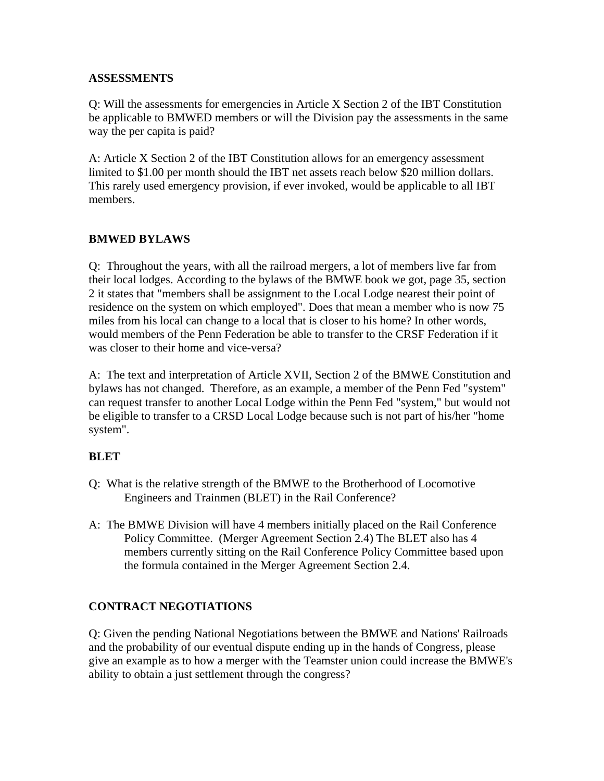#### **ASSESSMENTS**

Q: Will the assessments for emergencies in Article X Section 2 of the IBT Constitution be applicable to BMWED members or will the Division pay the assessments in the same way the per capita is paid?

A: Article X Section 2 of the IBT Constitution allows for an emergency assessment limited to \$1.00 per month should the IBT net assets reach below \$20 million dollars. This rarely used emergency provision, if ever invoked, would be applicable to all IBT members.

### **BMWED BYLAWS**

Q: Throughout the years, with all the railroad mergers, a lot of members live far from their local lodges. According to the bylaws of the BMWE book we got, page 35, section 2 it states that "members shall be assignment to the Local Lodge nearest their point of residence on the system on which employed". Does that mean a member who is now 75 miles from his local can change to a local that is closer to his home? In other words, would members of the Penn Federation be able to transfer to the CRSF Federation if it was closer to their home and vice-versa?

A: The text and interpretation of Article XVII, Section 2 of the BMWE Constitution and bylaws has not changed. Therefore, as an example, a member of the Penn Fed "system" can request transfer to another Local Lodge within the Penn Fed "system," but would not be eligible to transfer to a CRSD Local Lodge because such is not part of his/her "home system".

### **BLET**

- Q: What is the relative strength of the BMWE to the Brotherhood of Locomotive Engineers and Trainmen (BLET) in the Rail Conference?
- A: The BMWE Division will have 4 members initially placed on the Rail Conference Policy Committee. (Merger Agreement Section 2.4) The BLET also has 4 members currently sitting on the Rail Conference Policy Committee based upon the formula contained in the Merger Agreement Section 2.4.

### **CONTRACT NEGOTIATIONS**

Q: Given the pending National Negotiations between the BMWE and Nations' Railroads and the probability of our eventual dispute ending up in the hands of Congress, please give an example as to how a merger with the Teamster union could increase the BMWE's ability to obtain a just settlement through the congress?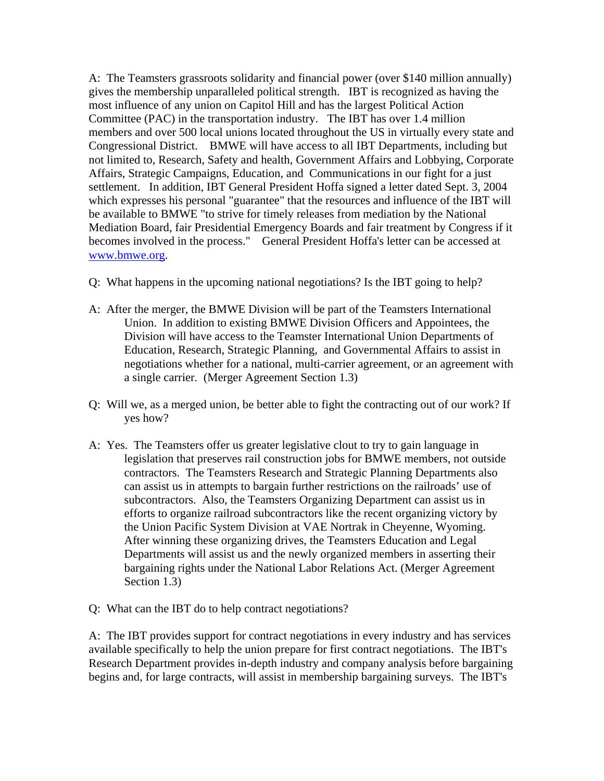A: The Teamsters grassroots solidarity and financial power (over \$140 million annually) gives the membership unparalleled political strength. IBT is recognized as having the most influence of any union on Capitol Hill and has the largest Political Action Committee (PAC) in the transportation industry. The IBT has over 1.4 million members and over 500 local unions located throughout the US in virtually every state and Congressional District. BMWE will have access to all IBT Departments, including but not limited to, Research, Safety and health, Government Affairs and Lobbying, Corporate Affairs, Strategic Campaigns, Education, and Communications in our fight for a just settlement. In addition, IBT General President Hoffa signed a letter dated Sept. 3, 2004 which expresses his personal "guarantee" that the resources and influence of the IBT will be available to BMWE "to strive for timely releases from mediation by the National Mediation Board, fair Presidential Emergency Boards and fair treatment by Congress if it becomes involved in the process." General President Hoffa's letter can be accessed at www.bmwe.org.

- Q: What happens in the upcoming national negotiations? Is the IBT going to help?
- A: After the merger, the BMWE Division will be part of the Teamsters International Union. In addition to existing BMWE Division Officers and Appointees, the Division will have access to the Teamster International Union Departments of Education, Research, Strategic Planning, and Governmental Affairs to assist in negotiations whether for a national, multi-carrier agreement, or an agreement with a single carrier. (Merger Agreement Section 1.3)
- Q: Will we, as a merged union, be better able to fight the contracting out of our work? If yes how?
- A: Yes. The Teamsters offer us greater legislative clout to try to gain language in legislation that preserves rail construction jobs for BMWE members, not outside contractors. The Teamsters Research and Strategic Planning Departments also can assist us in attempts to bargain further restrictions on the railroads' use of subcontractors. Also, the Teamsters Organizing Department can assist us in efforts to organize railroad subcontractors like the recent organizing victory by the Union Pacific System Division at VAE Nortrak in Cheyenne, Wyoming. After winning these organizing drives, the Teamsters Education and Legal Departments will assist us and the newly organized members in asserting their bargaining rights under the National Labor Relations Act. (Merger Agreement Section 1.3)
- Q: What can the IBT do to help contract negotiations?

A: The IBT provides support for contract negotiations in every industry and has services available specifically to help the union prepare for first contract negotiations. The IBT's Research Department provides in-depth industry and company analysis before bargaining begins and, for large contracts, will assist in membership bargaining surveys. The IBT's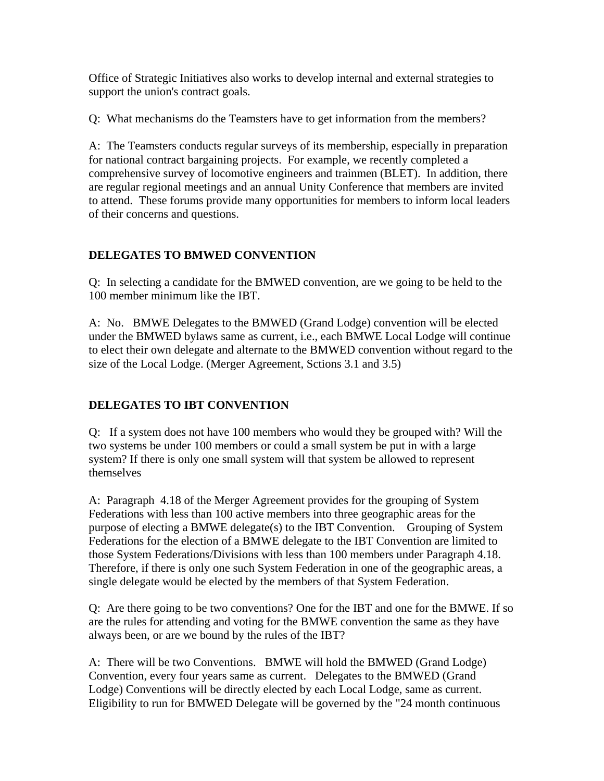Office of Strategic Initiatives also works to develop internal and external strategies to support the union's contract goals.

Q: What mechanisms do the Teamsters have to get information from the members?

A: The Teamsters conducts regular surveys of its membership, especially in preparation for national contract bargaining projects. For example, we recently completed a comprehensive survey of locomotive engineers and trainmen (BLET). In addition, there are regular regional meetings and an annual Unity Conference that members are invited to attend. These forums provide many opportunities for members to inform local leaders of their concerns and questions.

# **DELEGATES TO BMWED CONVENTION**

Q: In selecting a candidate for the BMWED convention, are we going to be held to the 100 member minimum like the IBT.

A: No. BMWE Delegates to the BMWED (Grand Lodge) convention will be elected under the BMWED bylaws same as current, i.e., each BMWE Local Lodge will continue to elect their own delegate and alternate to the BMWED convention without regard to the size of the Local Lodge. (Merger Agreement, Sctions 3.1 and 3.5)

# **DELEGATES TO IBT CONVENTION**

Q: If a system does not have 100 members who would they be grouped with? Will the two systems be under 100 members or could a small system be put in with a large system? If there is only one small system will that system be allowed to represent themselves

A: Paragraph 4.18 of the Merger Agreement provides for the grouping of System Federations with less than 100 active members into three geographic areas for the purpose of electing a BMWE delegate(s) to the IBT Convention. Grouping of System Federations for the election of a BMWE delegate to the IBT Convention are limited to those System Federations/Divisions with less than 100 members under Paragraph 4.18. Therefore, if there is only one such System Federation in one of the geographic areas, a single delegate would be elected by the members of that System Federation.

Q: Are there going to be two conventions? One for the IBT and one for the BMWE. If so are the rules for attending and voting for the BMWE convention the same as they have always been, or are we bound by the rules of the IBT?

A: There will be two Conventions. BMWE will hold the BMWED (Grand Lodge) Convention, every four years same as current. Delegates to the BMWED (Grand Lodge) Conventions will be directly elected by each Local Lodge, same as current. Eligibility to run for BMWED Delegate will be governed by the "24 month continuous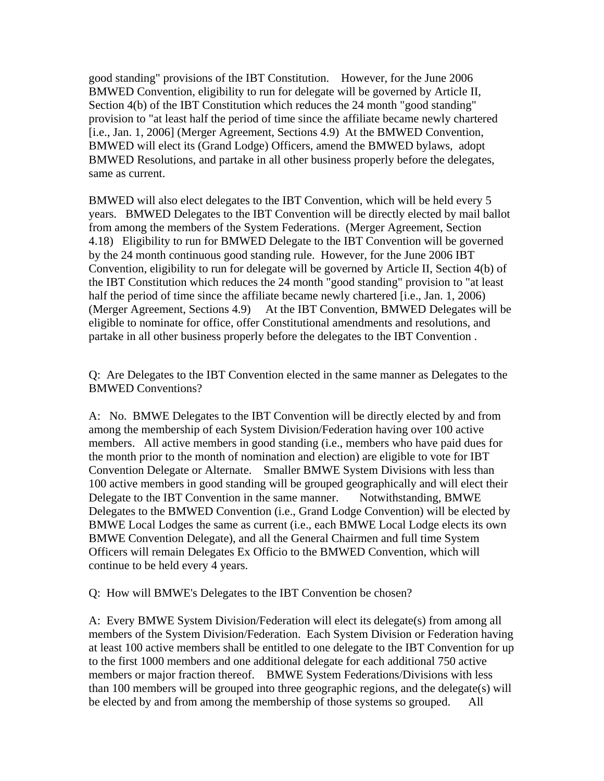good standing" provisions of the IBT Constitution. However, for the June 2006 BMWED Convention, eligibility to run for delegate will be governed by Article II, Section 4(b) of the IBT Constitution which reduces the 24 month "good standing" provision to "at least half the period of time since the affiliate became newly chartered [i.e., Jan. 1, 2006] (Merger Agreement, Sections 4.9) At the BMWED Convention, BMWED will elect its (Grand Lodge) Officers, amend the BMWED bylaws, adopt BMWED Resolutions, and partake in all other business properly before the delegates, same as current.

BMWED will also elect delegates to the IBT Convention, which will be held every 5 years. BMWED Delegates to the IBT Convention will be directly elected by mail ballot from among the members of the System Federations. (Merger Agreement, Section 4.18) Eligibility to run for BMWED Delegate to the IBT Convention will be governed by the 24 month continuous good standing rule. However, for the June 2006 IBT Convention, eligibility to run for delegate will be governed by Article II, Section 4(b) of the IBT Constitution which reduces the 24 month "good standing" provision to "at least half the period of time since the affiliate became newly chartered [i.e., Jan. 1, 2006) (Merger Agreement, Sections 4.9) At the IBT Convention, BMWED Delegates will be eligible to nominate for office, offer Constitutional amendments and resolutions, and partake in all other business properly before the delegates to the IBT Convention .

Q: Are Delegates to the IBT Convention elected in the same manner as Delegates to the BMWED Conventions?

A: No. BMWE Delegates to the IBT Convention will be directly elected by and from among the membership of each System Division/Federation having over 100 active members. All active members in good standing (i.e., members who have paid dues for the month prior to the month of nomination and election) are eligible to vote for IBT Convention Delegate or Alternate. Smaller BMWE System Divisions with less than 100 active members in good standing will be grouped geographically and will elect their Delegate to the IBT Convention in the same manner. Notwithstanding, BMWE Delegates to the BMWED Convention (i.e., Grand Lodge Convention) will be elected by BMWE Local Lodges the same as current (i.e., each BMWE Local Lodge elects its own BMWE Convention Delegate), and all the General Chairmen and full time System Officers will remain Delegates Ex Officio to the BMWED Convention, which will continue to be held every 4 years.

Q: How will BMWE's Delegates to the IBT Convention be chosen?

A: Every BMWE System Division/Federation will elect its delegate(s) from among all members of the System Division/Federation. Each System Division or Federation having at least 100 active members shall be entitled to one delegate to the IBT Convention for up to the first 1000 members and one additional delegate for each additional 750 active members or major fraction thereof. BMWE System Federations/Divisions with less than 100 members will be grouped into three geographic regions, and the delegate(s) will be elected by and from among the membership of those systems so grouped. All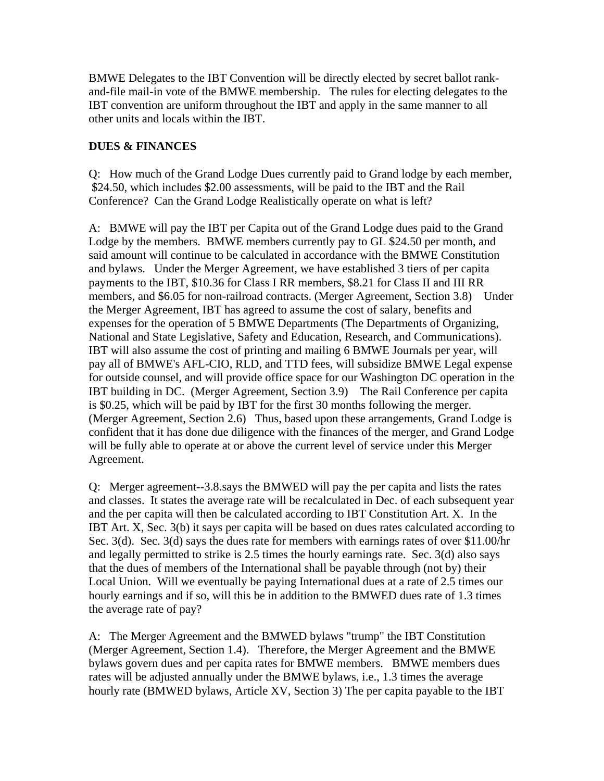BMWE Delegates to the IBT Convention will be directly elected by secret ballot rankand-file mail-in vote of the BMWE membership. The rules for electing delegates to the IBT convention are uniform throughout the IBT and apply in the same manner to all other units and locals within the IBT.

#### **DUES & FINANCES**

Q: How much of the Grand Lodge Dues currently paid to Grand lodge by each member, \$24.50, which includes \$2.00 assessments, will be paid to the IBT and the Rail Conference? Can the Grand Lodge Realistically operate on what is left?

A: BMWE will pay the IBT per Capita out of the Grand Lodge dues paid to the Grand Lodge by the members. BMWE members currently pay to GL \$24.50 per month, and said amount will continue to be calculated in accordance with the BMWE Constitution and bylaws. Under the Merger Agreement, we have established 3 tiers of per capita payments to the IBT, \$10.36 for Class I RR members, \$8.21 for Class II and III RR members, and \$6.05 for non-railroad contracts. (Merger Agreement, Section 3.8) Under the Merger Agreement, IBT has agreed to assume the cost of salary, benefits and expenses for the operation of 5 BMWE Departments (The Departments of Organizing, National and State Legislative, Safety and Education, Research, and Communications). IBT will also assume the cost of printing and mailing 6 BMWE Journals per year, will pay all of BMWE's AFL-CIO, RLD, and TTD fees, will subsidize BMWE Legal expense for outside counsel, and will provide office space for our Washington DC operation in the IBT building in DC. (Merger Agreement, Section 3.9) The Rail Conference per capita is \$0.25, which will be paid by IBT for the first 30 months following the merger. (Merger Agreement, Section 2.6) Thus, based upon these arrangements, Grand Lodge is confident that it has done due diligence with the finances of the merger, and Grand Lodge will be fully able to operate at or above the current level of service under this Merger Agreement.

Q: Merger agreement--3.8.says the BMWED will pay the per capita and lists the rates and classes. It states the average rate will be recalculated in Dec. of each subsequent year and the per capita will then be calculated according to IBT Constitution Art. X. In the IBT Art. X, Sec. 3(b) it says per capita will be based on dues rates calculated according to Sec. 3(d). Sec. 3(d) says the dues rate for members with earnings rates of over \$11.00/hr and legally permitted to strike is 2.5 times the hourly earnings rate. Sec. 3(d) also says that the dues of members of the International shall be payable through (not by) their Local Union. Will we eventually be paying International dues at a rate of 2.5 times our hourly earnings and if so, will this be in addition to the BMWED dues rate of 1.3 times the average rate of pay?

A: The Merger Agreement and the BMWED bylaws "trump" the IBT Constitution (Merger Agreement, Section 1.4). Therefore, the Merger Agreement and the BMWE bylaws govern dues and per capita rates for BMWE members. BMWE members dues rates will be adjusted annually under the BMWE bylaws, i.e., 1.3 times the average hourly rate (BMWED bylaws, Article XV, Section 3) The per capita payable to the IBT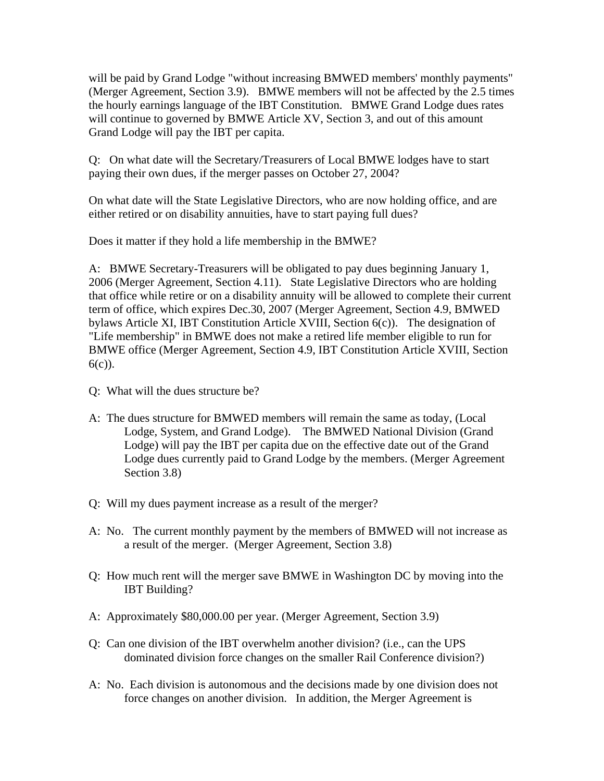will be paid by Grand Lodge "without increasing BMWED members' monthly payments" (Merger Agreement, Section 3.9). BMWE members will not be affected by the 2.5 times the hourly earnings language of the IBT Constitution. BMWE Grand Lodge dues rates will continue to governed by BMWE Article XV, Section 3, and out of this amount Grand Lodge will pay the IBT per capita.

Q: On what date will the Secretary/Treasurers of Local BMWE lodges have to start paying their own dues, if the merger passes on October 27, 2004?

On what date will the State Legislative Directors, who are now holding office, and are either retired or on disability annuities, have to start paying full dues?

Does it matter if they hold a life membership in the BMWE?

A: BMWE Secretary-Treasurers will be obligated to pay dues beginning January 1, 2006 (Merger Agreement, Section 4.11). State Legislative Directors who are holding that office while retire or on a disability annuity will be allowed to complete their current term of office, which expires Dec.30, 2007 (Merger Agreement, Section 4.9, BMWED bylaws Article XI, IBT Constitution Article XVIII, Section 6(c)). The designation of "Life membership" in BMWE does not make a retired life member eligible to run for BMWE office (Merger Agreement, Section 4.9, IBT Constitution Article XVIII, Section  $6(c)$ ).

- Q: What will the dues structure be?
- A: The dues structure for BMWED members will remain the same as today, (Local Lodge, System, and Grand Lodge). The BMWED National Division (Grand Lodge) will pay the IBT per capita due on the effective date out of the Grand Lodge dues currently paid to Grand Lodge by the members. (Merger Agreement Section 3.8)
- Q: Will my dues payment increase as a result of the merger?
- A: No. The current monthly payment by the members of BMWED will not increase as a result of the merger. (Merger Agreement, Section 3.8)
- Q: How much rent will the merger save BMWE in Washington DC by moving into the IBT Building?
- A: Approximately \$80,000.00 per year. (Merger Agreement, Section 3.9)
- Q: Can one division of the IBT overwhelm another division? (i.e., can the UPS dominated division force changes on the smaller Rail Conference division?)
- A: No. Each division is autonomous and the decisions made by one division does not force changes on another division. In addition, the Merger Agreement is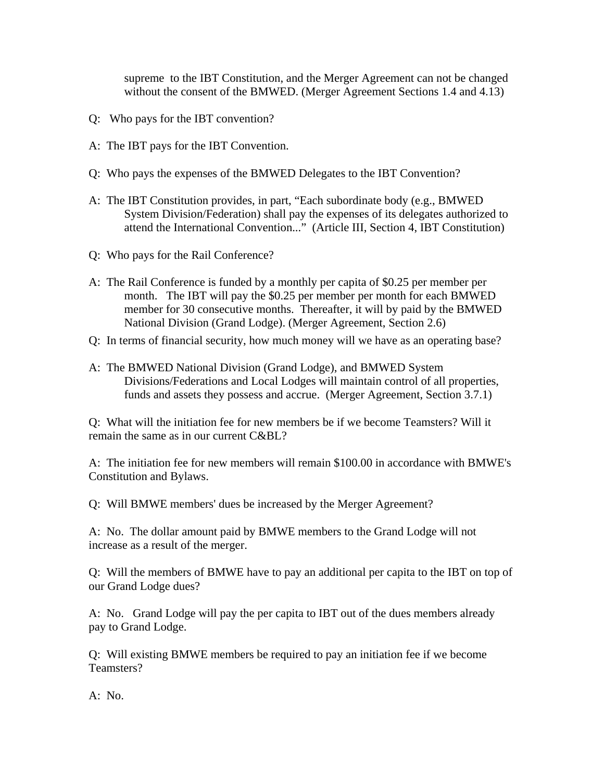supreme to the IBT Constitution, and the Merger Agreement can not be changed without the consent of the BMWED. (Merger Agreement Sections 1.4 and 4.13)

- Q: Who pays for the IBT convention?
- A: The IBT pays for the IBT Convention.
- Q: Who pays the expenses of the BMWED Delegates to the IBT Convention?
- A: The IBT Constitution provides, in part, "Each subordinate body (e.g., BMWED System Division/Federation) shall pay the expenses of its delegates authorized to attend the International Convention..." (Article III, Section 4, IBT Constitution)
- Q: Who pays for the Rail Conference?
- A: The Rail Conference is funded by a monthly per capita of \$0.25 per member per month. The IBT will pay the \$0.25 per member per month for each BMWED member for 30 consecutive months. Thereafter, it will by paid by the BMWED National Division (Grand Lodge). (Merger Agreement, Section 2.6)
- Q: In terms of financial security, how much money will we have as an operating base?
- A: The BMWED National Division (Grand Lodge), and BMWED System Divisions/Federations and Local Lodges will maintain control of all properties, funds and assets they possess and accrue. (Merger Agreement, Section 3.7.1)

Q: What will the initiation fee for new members be if we become Teamsters? Will it remain the same as in our current C&BL?

A: The initiation fee for new members will remain \$100.00 in accordance with BMWE's Constitution and Bylaws.

Q: Will BMWE members' dues be increased by the Merger Agreement?

A: No. The dollar amount paid by BMWE members to the Grand Lodge will not increase as a result of the merger.

Q: Will the members of BMWE have to pay an additional per capita to the IBT on top of our Grand Lodge dues?

A: No. Grand Lodge will pay the per capita to IBT out of the dues members already pay to Grand Lodge.

Q: Will existing BMWE members be required to pay an initiation fee if we become Teamsters?

A: No.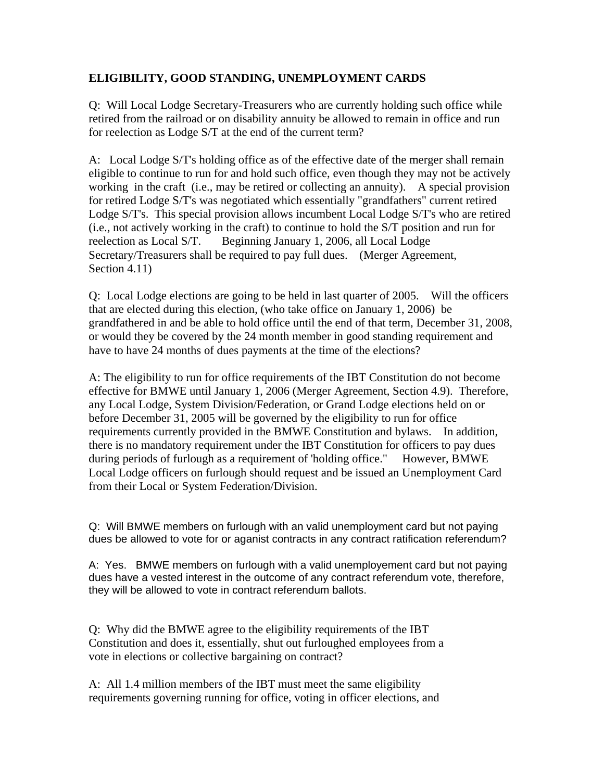## **ELIGIBILITY, GOOD STANDING, UNEMPLOYMENT CARDS**

Q: Will Local Lodge Secretary-Treasurers who are currently holding such office while retired from the railroad or on disability annuity be allowed to remain in office and run for reelection as Lodge S/T at the end of the current term?

A: Local Lodge S/T's holding office as of the effective date of the merger shall remain eligible to continue to run for and hold such office, even though they may not be actively working in the craft (i.e., may be retired or collecting an annuity). A special provision for retired Lodge S/T's was negotiated which essentially "grandfathers" current retired Lodge S/T's. This special provision allows incumbent Local Lodge S/T's who are retired (i.e., not actively working in the craft) to continue to hold the S/T position and run for reelection as Local S/T. Beginning January 1, 2006, all Local Lodge Secretary/Treasurers shall be required to pay full dues. (Merger Agreement, Section 4.11)

Q: Local Lodge elections are going to be held in last quarter of 2005. Will the officers that are elected during this election, (who take office on January 1, 2006) be grandfathered in and be able to hold office until the end of that term, December 31, 2008, or would they be covered by the 24 month member in good standing requirement and have to have 24 months of dues payments at the time of the elections?

A: The eligibility to run for office requirements of the IBT Constitution do not become effective for BMWE until January 1, 2006 (Merger Agreement, Section 4.9). Therefore, any Local Lodge, System Division/Federation, or Grand Lodge elections held on or before December 31, 2005 will be governed by the eligibility to run for office requirements currently provided in the BMWE Constitution and bylaws. In addition, there is no mandatory requirement under the IBT Constitution for officers to pay dues during periods of furlough as a requirement of 'holding office." However, BMWE Local Lodge officers on furlough should request and be issued an Unemployment Card from their Local or System Federation/Division.

Q: Will BMWE members on furlough with an valid unemployment card but not paying dues be allowed to vote for or aganist contracts in any contract ratification referendum?

A: Yes. BMWE members on furlough with a valid unemployement card but not paying dues have a vested interest in the outcome of any contract referendum vote, therefore, they will be allowed to vote in contract referendum ballots.

Q: Why did the BMWE agree to the eligibility requirements of the IBT Constitution and does it, essentially, shut out furloughed employees from a vote in elections or collective bargaining on contract?

A: All 1.4 million members of the IBT must meet the same eligibility requirements governing running for office, voting in officer elections, and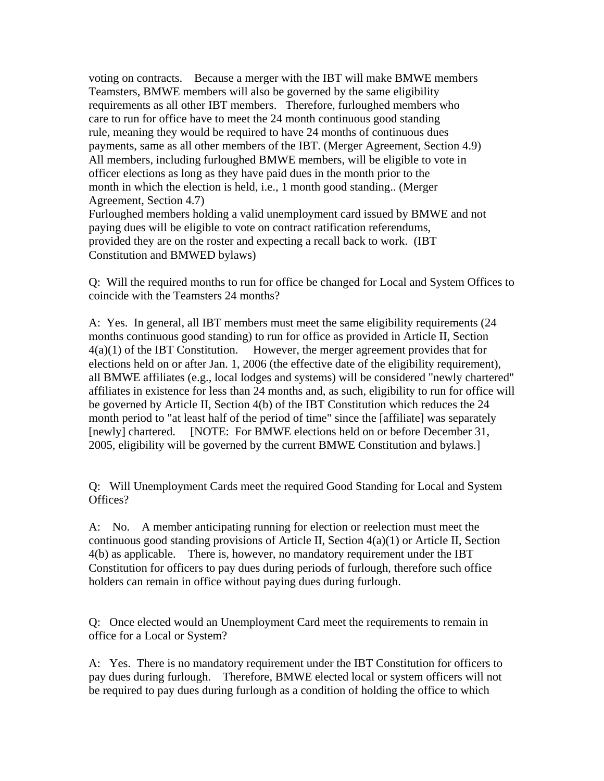voting on contracts. Because a merger with the IBT will make BMWE members Teamsters, BMWE members will also be governed by the same eligibility requirements as all other IBT members. Therefore, furloughed members who care to run for office have to meet the 24 month continuous good standing rule, meaning they would be required to have 24 months of continuous dues payments, same as all other members of the IBT. (Merger Agreement, Section 4.9) All members, including furloughed BMWE members, will be eligible to vote in officer elections as long as they have paid dues in the month prior to the month in which the election is held, i.e., 1 month good standing.. (Merger Agreement, Section 4.7) Furloughed members holding a valid unemployment card issued by BMWE and not paying dues will be eligible to vote on contract ratification referendums,

provided they are on the roster and expecting a recall back to work. (IBT Constitution and BMWED bylaws)

Q: Will the required months to run for office be changed for Local and System Offices to coincide with the Teamsters 24 months?

A: Yes. In general, all IBT members must meet the same eligibility requirements (24 months continuous good standing) to run for office as provided in Article II, Section 4(a)(1) of the IBT Constitution. However, the merger agreement provides that for elections held on or after Jan. 1, 2006 (the effective date of the eligibility requirement), all BMWE affiliates (e.g., local lodges and systems) will be considered "newly chartered" affiliates in existence for less than 24 months and, as such, eligibility to run for office will be governed by Article II, Section 4(b) of the IBT Constitution which reduces the 24 month period to "at least half of the period of time" since the [affiliate] was separately [newly] chartered. [NOTE: For BMWE elections held on or before December 31, 2005, eligibility will be governed by the current BMWE Constitution and bylaws.]

Q: Will Unemployment Cards meet the required Good Standing for Local and System Offices?

A: No. A member anticipating running for election or reelection must meet the continuous good standing provisions of Article II, Section 4(a)(1) or Article II, Section 4(b) as applicable. There is, however, no mandatory requirement under the IBT Constitution for officers to pay dues during periods of furlough, therefore such office holders can remain in office without paying dues during furlough.

Q: Once elected would an Unemployment Card meet the requirements to remain in office for a Local or System?

A: Yes. There is no mandatory requirement under the IBT Constitution for officers to pay dues during furlough. Therefore, BMWE elected local or system officers will not be required to pay dues during furlough as a condition of holding the office to which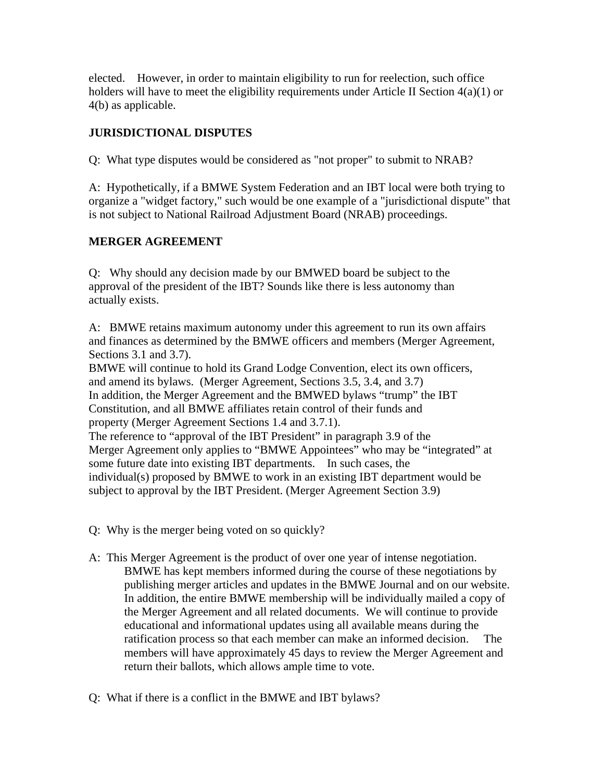elected. However, in order to maintain eligibility to run for reelection, such office holders will have to meet the eligibility requirements under Article II Section 4(a)(1) or 4(b) as applicable.

# **JURISDICTIONAL DISPUTES**

Q: What type disputes would be considered as "not proper" to submit to NRAB?

A: Hypothetically, if a BMWE System Federation and an IBT local were both trying to organize a "widget factory," such would be one example of a "jurisdictional dispute" that is not subject to National Railroad Adjustment Board (NRAB) proceedings.

# **MERGER AGREEMENT**

Q: Why should any decision made by our BMWED board be subject to the approval of the president of the IBT? Sounds like there is less autonomy than actually exists.

A: BMWE retains maximum autonomy under this agreement to run its own affairs and finances as determined by the BMWE officers and members (Merger Agreement, Sections 3.1 and 3.7).

BMWE will continue to hold its Grand Lodge Convention, elect its own officers, and amend its bylaws. (Merger Agreement, Sections 3.5, 3.4, and 3.7) In addition, the Merger Agreement and the BMWED bylaws "trump" the IBT Constitution, and all BMWE affiliates retain control of their funds and property (Merger Agreement Sections 1.4 and 3.7.1). The reference to "approval of the IBT President" in paragraph 3.9 of the Merger Agreement only applies to "BMWE Appointees" who may be "integrated" at some future date into existing IBT departments. In such cases, the individual(s) proposed by BMWE to work in an existing IBT department would be subject to approval by the IBT President. (Merger Agreement Section 3.9)

- 
- Q: Why is the merger being voted on so quickly?
- A: This Merger Agreement is the product of over one year of intense negotiation. BMWE has kept members informed during the course of these negotiations by publishing merger articles and updates in the BMWE Journal and on our website. In addition, the entire BMWE membership will be individually mailed a copy of the Merger Agreement and all related documents. We will continue to provide educational and informational updates using all available means during the ratification process so that each member can make an informed decision. The members will have approximately 45 days to review the Merger Agreement and return their ballots, which allows ample time to vote.
- Q: What if there is a conflict in the BMWE and IBT bylaws?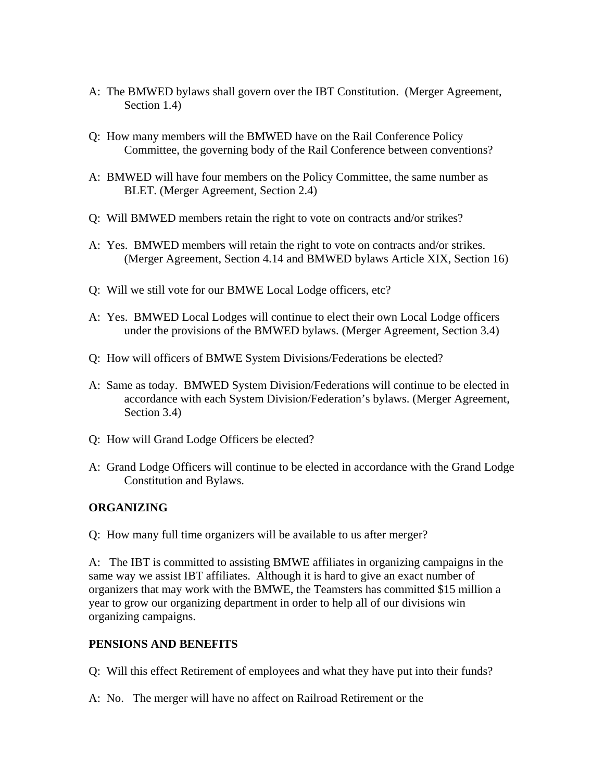- A: The BMWED bylaws shall govern over the IBT Constitution. (Merger Agreement, Section 1.4)
- Q: How many members will the BMWED have on the Rail Conference Policy Committee, the governing body of the Rail Conference between conventions?
- A: BMWED will have four members on the Policy Committee, the same number as BLET. (Merger Agreement, Section 2.4)
- Q: Will BMWED members retain the right to vote on contracts and/or strikes?
- A: Yes. BMWED members will retain the right to vote on contracts and/or strikes. (Merger Agreement, Section 4.14 and BMWED bylaws Article XIX, Section 16)
- Q: Will we still vote for our BMWE Local Lodge officers, etc?
- A: Yes. BMWED Local Lodges will continue to elect their own Local Lodge officers under the provisions of the BMWED bylaws. (Merger Agreement, Section 3.4)
- Q: How will officers of BMWE System Divisions/Federations be elected?
- A: Same as today. BMWED System Division/Federations will continue to be elected in accordance with each System Division/Federation's bylaws. (Merger Agreement, Section 3.4)
- Q: How will Grand Lodge Officers be elected?
- A: Grand Lodge Officers will continue to be elected in accordance with the Grand Lodge Constitution and Bylaws.

#### **ORGANIZING**

Q: How many full time organizers will be available to us after merger?

A: The IBT is committed to assisting BMWE affiliates in organizing campaigns in the same way we assist IBT affiliates. Although it is hard to give an exact number of organizers that may work with the BMWE, the Teamsters has committed \$15 million a year to grow our organizing department in order to help all of our divisions win organizing campaigns.

#### **PENSIONS AND BENEFITS**

Q: Will this effect Retirement of employees and what they have put into their funds?

A: No. The merger will have no affect on Railroad Retirement or the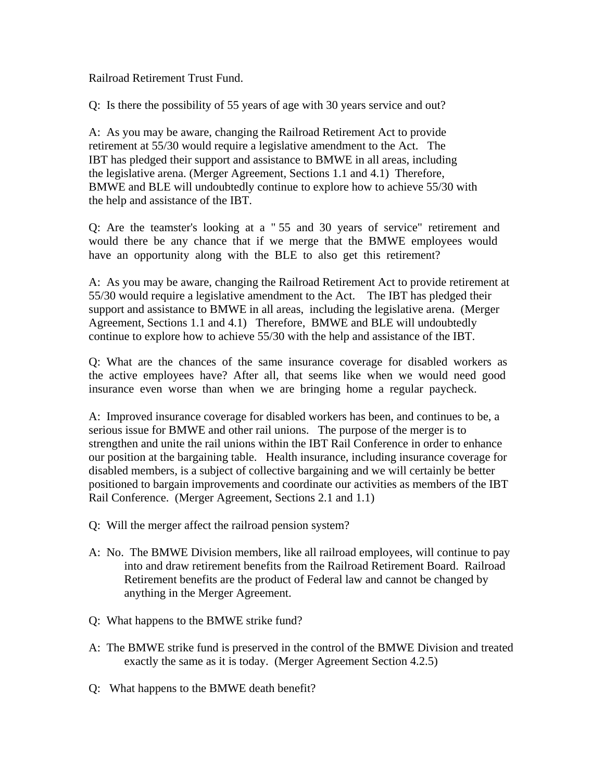Railroad Retirement Trust Fund.

Q: Is there the possibility of 55 years of age with 30 years service and out?

A: As you may be aware, changing the Railroad Retirement Act to provide retirement at 55/30 would require a legislative amendment to the Act. The IBT has pledged their support and assistance to BMWE in all areas, including the legislative arena. (Merger Agreement, Sections 1.1 and 4.1) Therefore, BMWE and BLE will undoubtedly continue to explore how to achieve 55/30 with the help and assistance of the IBT.

Q: Are the teamster's looking at a " 55 and 30 years of service" retirement and would there be any chance that if we merge that the BMWE employees would have an opportunity along with the BLE to also get this retirement?

A: As you may be aware, changing the Railroad Retirement Act to provide retirement at 55/30 would require a legislative amendment to the Act. The IBT has pledged their support and assistance to BMWE in all areas, including the legislative arena. (Merger Agreement, Sections 1.1 and 4.1) Therefore, BMWE and BLE will undoubtedly continue to explore how to achieve 55/30 with the help and assistance of the IBT.

Q: What are the chances of the same insurance coverage for disabled workers as the active employees have? After all, that seems like when we would need good insurance even worse than when we are bringing home a regular paycheck.

A: Improved insurance coverage for disabled workers has been, and continues to be, a serious issue for BMWE and other rail unions. The purpose of the merger is to strengthen and unite the rail unions within the IBT Rail Conference in order to enhance our position at the bargaining table. Health insurance, including insurance coverage for disabled members, is a subject of collective bargaining and we will certainly be better positioned to bargain improvements and coordinate our activities as members of the IBT Rail Conference. (Merger Agreement, Sections 2.1 and 1.1)

- Q: Will the merger affect the railroad pension system?
- A: No. The BMWE Division members, like all railroad employees, will continue to pay into and draw retirement benefits from the Railroad Retirement Board. Railroad Retirement benefits are the product of Federal law and cannot be changed by anything in the Merger Agreement.
- Q: What happens to the BMWE strike fund?
- A: The BMWE strike fund is preserved in the control of the BMWE Division and treated exactly the same as it is today. (Merger Agreement Section 4.2.5)
- Q: What happens to the BMWE death benefit?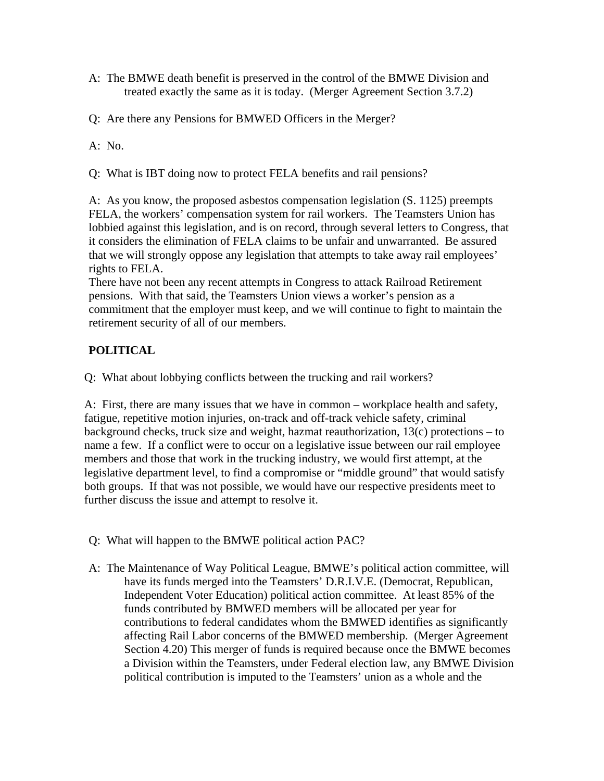- A: The BMWE death benefit is preserved in the control of the BMWE Division and treated exactly the same as it is today. (Merger Agreement Section 3.7.2)
- Q: Are there any Pensions for BMWED Officers in the Merger?
- A: No.
- Q: What is IBT doing now to protect FELA benefits and rail pensions?

A: As you know, the proposed asbestos compensation legislation (S. 1125) preempts FELA, the workers' compensation system for rail workers. The Teamsters Union has lobbied against this legislation, and is on record, through several letters to Congress, that it considers the elimination of FELA claims to be unfair and unwarranted. Be assured that we will strongly oppose any legislation that attempts to take away rail employees' rights to FELA.

There have not been any recent attempts in Congress to attack Railroad Retirement pensions. With that said, the Teamsters Union views a worker's pension as a commitment that the employer must keep, and we will continue to fight to maintain the retirement security of all of our members.

# **POLITICAL**

Q: What about lobbying conflicts between the trucking and rail workers?

A:First, there are many issues that we have in common – workplace health and safety, fatigue, repetitive motion injuries, on-track and off-track vehicle safety, criminal background checks, truck size and weight, hazmat reauthorization, 13(c) protections – to name a few. If a conflict were to occur on a legislative issue between our rail employee members and those that work in the trucking industry, we would first attempt, at the legislative department level, to find a compromise or "middle ground" that would satisfy both groups. If that was not possible, we would have our respective presidents meet to further discuss the issue and attempt to resolve it.

- Q: What will happen to the BMWE political action PAC?
- A: The Maintenance of Way Political League, BMWE's political action committee, will have its funds merged into the Teamsters' D.R.I.V.E. (Democrat, Republican, Independent Voter Education) political action committee. At least 85% of the funds contributed by BMWED members will be allocated per year for contributions to federal candidates whom the BMWED identifies as significantly affecting Rail Labor concerns of the BMWED membership. (Merger Agreement Section 4.20) This merger of funds is required because once the BMWE becomes a Division within the Teamsters, under Federal election law, any BMWE Division political contribution is imputed to the Teamsters' union as a whole and the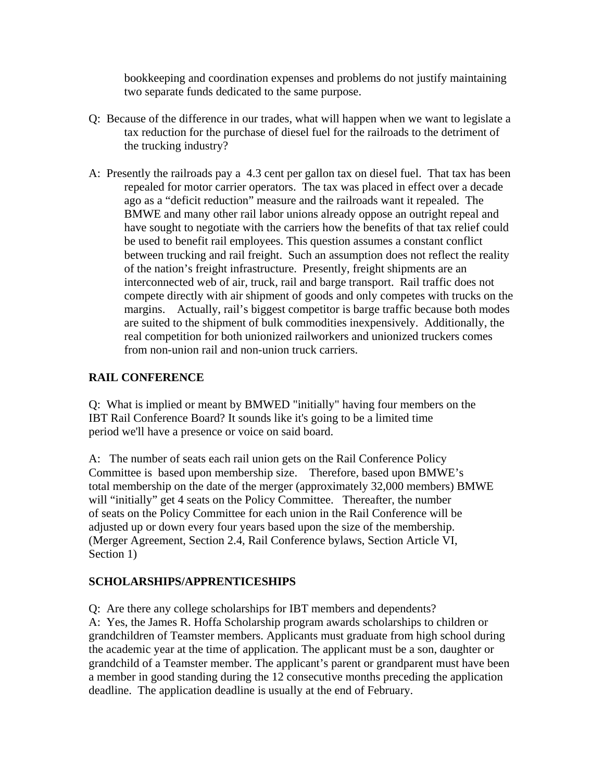bookkeeping and coordination expenses and problems do not justify maintaining two separate funds dedicated to the same purpose.

- Q: Because of the difference in our trades, what will happen when we want to legislate a tax reduction for the purchase of diesel fuel for the railroads to the detriment of the trucking industry?
- A: Presently the railroads pay a 4.3 cent per gallon tax on diesel fuel. That tax has been repealed for motor carrier operators. The tax was placed in effect over a decade ago as a "deficit reduction" measure and the railroads want it repealed. The BMWE and many other rail labor unions already oppose an outright repeal and have sought to negotiate with the carriers how the benefits of that tax relief could be used to benefit rail employees. This question assumes a constant conflict between trucking and rail freight. Such an assumption does not reflect the reality of the nation's freight infrastructure. Presently, freight shipments are an interconnected web of air, truck, rail and barge transport. Rail traffic does not compete directly with air shipment of goods and only competes with trucks on the margins. Actually, rail's biggest competitor is barge traffic because both modes are suited to the shipment of bulk commodities inexpensively. Additionally, the real competition for both unionized railworkers and unionized truckers comes from non-union rail and non-union truck carriers.

# **RAIL CONFERENCE**

Q: What is implied or meant by BMWED "initially" having four members on the IBT Rail Conference Board? It sounds like it's going to be a limited time period we'll have a presence or voice on said board.

A: The number of seats each rail union gets on the Rail Conference Policy Committee is based upon membership size. Therefore, based upon BMWE's total membership on the date of the merger (approximately 32,000 members) BMWE will "initially" get 4 seats on the Policy Committee. Thereafter, the number of seats on the Policy Committee for each union in the Rail Conference will be adjusted up or down every four years based upon the size of the membership. (Merger Agreement, Section 2.4, Rail Conference bylaws, Section Article VI, Section 1)

### **SCHOLARSHIPS/APPRENTICESHIPS**

Q: Are there any college scholarships for IBT members and dependents? A:Yes, the James R. Hoffa Scholarship program awards scholarships to children or grandchildren of Teamster members. Applicants must graduate from high school during the academic year at the time of application. The applicant must be a son, daughter or grandchild of a Teamster member. The applicant's parent or grandparent must have been a member in good standing during the 12 consecutive months preceding the application deadline. The application deadline is usually at the end of February.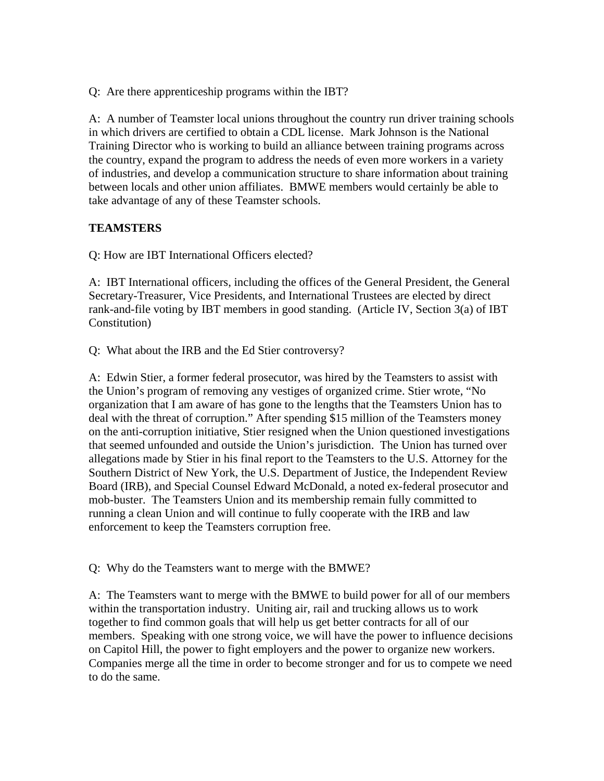Q: Are there apprenticeship programs within the IBT?

A: A number of Teamster local unions throughout the country run driver training schools in which drivers are certified to obtain a CDL license. Mark Johnson is the National Training Director who is working to build an alliance between training programs across the country, expand the program to address the needs of even more workers in a variety of industries, and develop a communication structure to share information about training between locals and other union affiliates. BMWE members would certainly be able to take advantage of any of these Teamster schools.

# **TEAMSTERS**

Q: How are IBT International Officers elected?

A: IBT International officers, including the offices of the General President, the General Secretary-Treasurer, Vice Presidents, and International Trustees are elected by direct rank-and-file voting by IBT members in good standing. (Article IV, Section 3(a) of IBT Constitution)

Q: What about the IRB and the Ed Stier controversy?

A: Edwin Stier, a former federal prosecutor, was hired by the Teamsters to assist with the Union's program of removing any vestiges of organized crime. Stier wrote, "No organization that I am aware of has gone to the lengths that the Teamsters Union has to deal with the threat of corruption." After spending \$15 million of the Teamsters money on the anti-corruption initiative, Stier resigned when the Union questioned investigations that seemed unfounded and outside the Union's jurisdiction. The Union has turned over allegations made by Stier in his final report to the Teamsters to the U.S. Attorney for the Southern District of New York, the U.S. Department of Justice, the Independent Review Board (IRB), and Special Counsel Edward McDonald, a noted ex-federal prosecutor and mob-buster. The Teamsters Union and its membership remain fully committed to running a clean Union and will continue to fully cooperate with the IRB and law enforcement to keep the Teamsters corruption free.

Q: Why do the Teamsters want to merge with the BMWE?

A: The Teamsters want to merge with the BMWE to build power for all of our members within the transportation industry. Uniting air, rail and trucking allows us to work together to find common goals that will help us get better contracts for all of our members. Speaking with one strong voice, we will have the power to influence decisions on Capitol Hill, the power to fight employers and the power to organize new workers. Companies merge all the time in order to become stronger and for us to compete we need to do the same.